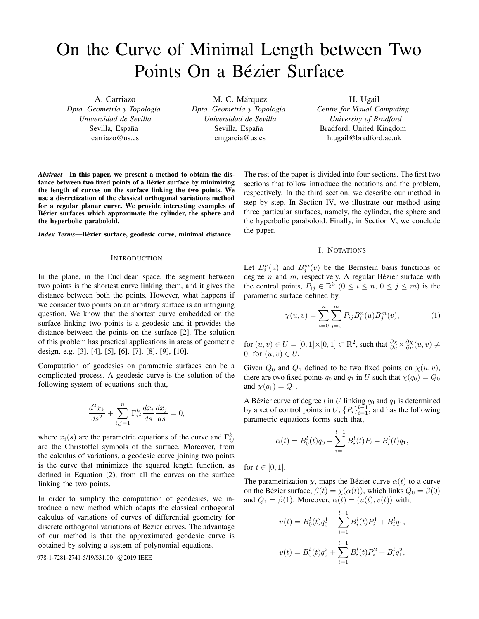# On the Curve of Minimal Length between Two Points On a Bézier Surface

A. Carriazo *Dpto. Geometr´ıa y Topolog´ıa Universidad de Sevilla* Sevilla, España carriazo@us.es

M. C. Márquez *Dpto. Geometr´ıa y Topolog´ıa Universidad de Sevilla* Sevilla, España cmgarcia@us.es

H. Ugail *Centre for Visual Computing University of Bradford* Bradford, United Kingdom h.ugail@bradford.ac.uk

*Abstract*—In this paper, we present a method to obtain the distance between two fixed points of a Bézier surface by minimizing the length of curves on the surface linking the two points. We use a discretization of the classical orthogonal variations method for a regular planar curve. We provide interesting examples of Bézier surfaces which approximate the cylinder, the sphere and the hyperbolic paraboloid.

*Index Terms*—Bézier surface, geodesic curve, minimal distance

#### INTRODUCTION

In the plane, in the Euclidean space, the segment between two points is the shortest curve linking them, and it gives the distance between both the points. However, what happens if we consider two points on an arbitrary surface is an intriguing question. We know that the shortest curve embedded on the surface linking two points is a geodesic and it provides the distance between the points on the surface [2]. The solution of this problem has practical applications in areas of geometric design, e.g. [3], [4], [5], [6], [7], [8], [9], [10].

Computation of geodesics on parametric surfaces can be a complicated process. A geodesic curve is the solution of the following system of equations such that,

$$
\frac{d^2x_k}{ds^2} + \sum_{i,j=1}^n \Gamma_{ij}^k \frac{dx_i}{ds} \frac{dx_j}{ds} = 0,
$$

where  $x_i(s)$  are the parametric equations of the curve and  $\Gamma_{ij}^k$ are the Christoffel symbols of the surface. Moreover, from the calculus of variations, a geodesic curve joining two points is the curve that minimizes the squared length function, as defined in Equation (2), from all the curves on the surface linking the two points.

In order to simplify the computation of geodesics, we introduce a new method which adapts the classical orthogonal calculus of variations of curves of differential geometry for discrete orthogonal variations of Bézier curves. The advantage of our method is that the approximated geodesic curve is obtained by solving a system of polynomial equations.

978-1-7281-2741-5/19/\$31.00 C2019 IEEE

The rest of the paper is divided into four sections. The first two sections that follow introduce the notations and the problem, respectively. In the third section, we describe our method in step by step. In Section IV, we illustrate our method using three particular surfaces, namely, the cylinder, the sphere and the hyperbolic paraboloid. Finally, in Section V, we conclude the paper.

#### I. NOTATIONS

Let  $B_i^n(u)$  and  $B_j^m(v)$  be the Bernstein basis functions of degree  $n$  and  $m$ , respectively. A regular Bézier surface with the control points,  $P_{ij} \in \mathbb{R}^3$   $(0 \le i \le n, 0 \le j \le m)$  is the parametric surface defined by,

$$
\chi(u,v) = \sum_{i=0}^{n} \sum_{j=0}^{m} P_{ij} B_i^n(u) B_j^m(v), \qquad (1)
$$

for  $(u, v) \in U = [0, 1] \times [0, 1] \subset \mathbb{R}^2$ , such that  $\frac{\partial \chi}{\partial u} \times \frac{\partial \chi}{\partial v}(u, v) \neq$ 0, for  $(u, v) \in U$ .

Given  $Q_0$  and  $Q_1$  defined to be two fixed points on  $\chi(u, v)$ , there are two fixed points  $q_0$  and  $q_1$  in U such that  $\chi(q_0) = Q_0$ and  $\chi(q_1) = Q_1$ .

A Bézier curve of degree  $l$  in  $U$  linking  $q_0$  and  $q_1$  is determined by a set of control points in U,  $\{P_i\}_{i=1}^{l-1}$ , and has the following parametric equations forms such that,

$$
\alpha(t) = B_0^l(t)q_0 + \sum_{i=1}^{l-1} B_i^l(t)P_i + B_l^l(t)q_1,
$$

for  $t \in [0, 1]$ .

The parametrization  $\chi$ , maps the Bézier curve  $\alpha(t)$  to a curve on the Bézier surface,  $\beta(t) = \chi(\alpha(t))$ , which links  $Q_0 = \beta(0)$ and  $Q_1 = \beta(1)$ . Moreover,  $\alpha(t) = (u(t), v(t))$  with,

$$
u(t) = B_0^l(t)q_0^1 + \sum_{i=1}^{l-1} B_i^l(t)P_i^1 + B_l^l q_1^1,
$$
  

$$
v(t) = B_0^l(t)q_0^2 + \sum_{i=1}^{l-1} B_i^l(t)P_i^2 + B_l^l q_1^2,
$$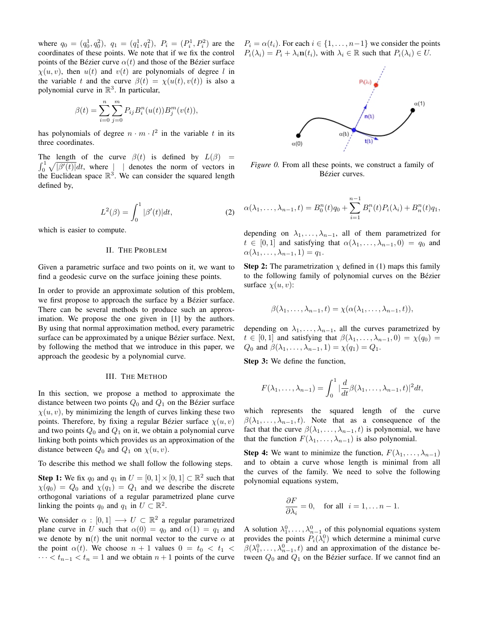where  $q_0 = (q_0^1, q_0^2), q_1 = (q_1^1, q_1^2), P_i = (P_i^1, P_i^2)$  are the coordinates of these points. We note that if we fix the control points of the Bézier curve  $\alpha(t)$  and those of the Bézier surface  $\chi(u, v)$ , then  $u(t)$  and  $v(t)$  are polynomials of degree l in the variable t and the curve  $\beta(t) = \chi(u(t), v(t))$  is also a polynomial curve in  $\mathbb{R}^3$ . In particular,

$$
\beta(t) = \sum_{i=0}^{n} \sum_{j=0}^{m} P_{ij} B_i^n(u(t)) B_j^m(v(t)),
$$

has polynomials of degree  $n \cdot m \cdot l^2$  in the variable t in its three coordinates.

The length of the curve  $\beta(t)$  is defined by  $L(\beta)$  =  $\int_0^1 \sqrt{|\beta'(t)|} dt$ , where  $\int$  | denotes the norm of vectors in the Euclidean space  $\mathbb{R}^3$ . We can consider the squared length defined by,

$$
L^{2}(\beta) = \int_{0}^{1} |\beta'(t)| dt,
$$
 (2)

which is easier to compute.

### II. THE PROBLEM

Given a parametric surface and two points on it, we want to find a geodesic curve on the surface joining these points.

In order to provide an approximate solution of this problem, we first propose to approach the surface by a Bézier surface. There can be several methods to produce such an approximation. We propose the one given in [1] by the authors. By using that normal approximation method, every parametric surface can be approximated by a unique Bézier surface. Next, by following the method that we introduce in this paper, we approach the geodesic by a polynomial curve.

#### III. THE METHOD

In this section, we propose a method to approximate the distance between two points  $Q_0$  and  $Q_1$  on the Bézier surface  $\chi(u, v)$ , by minimizing the length of curves linking these two points. Therefore, by fixing a regular Bézier surface  $\chi(u, v)$ and two points  $Q_0$  and  $Q_1$  on it, we obtain a polynomial curve linking both points which provides us an approximation of the distance between  $Q_0$  and  $Q_1$  on  $\chi(u, v)$ .

To describe this method we shall follow the following steps.

**Step 1:** We fix  $q_0$  and  $q_1$  in  $U = [0, 1] \times [0, 1] \subset \mathbb{R}^2$  such that  $\chi(q_0) = Q_0$  and  $\chi(q_1) = Q_1$  and we describe the discrete orthogonal variations of a regular parametrized plane curve linking the points  $q_0$  and  $q_1$  in  $U \subset \mathbb{R}^2$ .

We consider  $\alpha : [0,1] \longrightarrow U \subset \mathbb{R}^2$  a regular parametrized plane curve in U such that  $\alpha(0) = q_0$  and  $\alpha(1) = q_1$  and we denote by  $\mathbf{n}(t)$  the unit normal vector to the curve  $\alpha$  at the point  $\alpha(t)$ . We choose  $n + 1$  values  $0 = t_0 < t_1 <$  $\cdots < t_{n-1} < t_n = 1$  and we obtain  $n+1$  points of the curve  $P_i = \alpha(t_i)$ . For each  $i \in \{1, \ldots, n-1\}$  we consider the points  $P_i(\lambda_i) = P_i + \lambda_i \mathbf{n}(t_i)$ , with  $\lambda_i \in \mathbb{R}$  such that  $P_i(\lambda_i) \in U$ .



*Figure 0.* From all these points, we construct a family of Bézier curves.

$$
\alpha(\lambda_1, ..., \lambda_{n-1}, t) = B_0^n(t)q_0 + \sum_{i=1}^{n-1} B_i^n(t)P_i(\lambda_i) + B_n^n(t)q_1,
$$

depending on  $\lambda_1, \ldots, \lambda_{n-1}$ , all of them parametrized for  $t \in [0,1]$  and satisfying that  $\alpha(\lambda_1,\ldots,\lambda_{n-1},0) = q_0$  and  $\alpha(\lambda_1,\ldots,\lambda_{n-1},1)=q_1.$ 

**Step 2:** The parametrization  $\chi$  defined in (1) maps this family to the following family of polynomial curves on the Bezier ´ surface  $\chi(u, v)$ :

$$
\beta(\lambda_1,\ldots,\lambda_{n-1},t)=\chi(\alpha(\lambda_1,\ldots,\lambda_{n-1},t)),
$$

depending on  $\lambda_1, \ldots, \lambda_{n-1}$ , all the curves parametrized by  $t \in [0,1]$  and satisfying that  $\beta(\lambda_1,\ldots,\lambda_{n-1},0) = \chi(q_0) =$  $Q_0$  and  $\beta(\lambda_1,\ldots,\lambda_{n-1},1)=\chi(q_1)=Q_1$ .

Step 3: We define the function,

$$
F(\lambda_1,\ldots,\lambda_{n-1})=\int_0^1|\frac{d}{dt}\beta(\lambda_1,\ldots,\lambda_{n-1},t)|^2dt,
$$

which represents the squared length of the curve  $\beta(\lambda_1,\ldots,\lambda_{n-1},t)$ . Note that as a consequence of the fact that the curve  $\beta(\lambda_1,\ldots,\lambda_{n-1},t)$  is polynomial, we have that the function  $F(\lambda_1, \ldots, \lambda_{n-1})$  is also polynomial.

**Step 4:** We want to minimize the function,  $F(\lambda_1, \ldots, \lambda_{n-1})$ and to obtain a curve whose length is minimal from all the curves of the family. We need to solve the following polynomial equations system,

$$
\frac{\partial F}{\partial \lambda_i} = 0, \quad \text{for all} \ \ i = 1, \dots n - 1.
$$

A solution  $\lambda_1^0, \ldots, \lambda_{n-1}^0$  of this polynomial equations system provides the points  $P_i(\lambda_i^0)$  which determine a minimal curve  $\beta(\lambda_1^0,\ldots,\lambda_{n-1}^0,t)$  and an approximation of the distance between  $Q_0$  and  $Q_1$  on the Bézier surface. If we cannot find an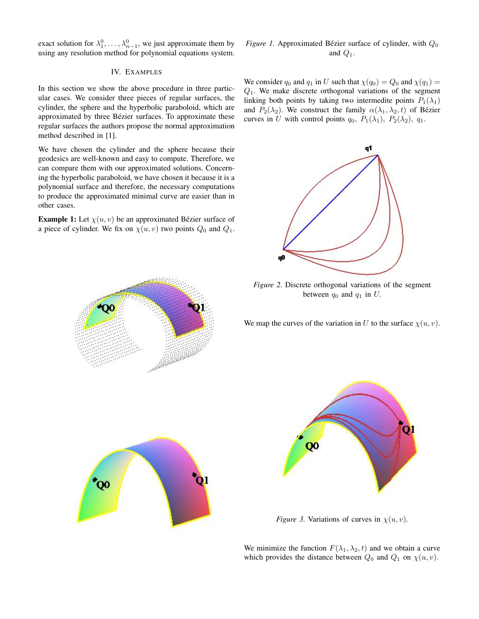exact solution for  $\lambda_1^0, \ldots, \lambda_{n-1}^0$ , we just approximate them by using any resolution method for polynomial equations system.

## IV. EXAMPLES

In this section we show the above procedure in three particular cases. We consider three pieces of regular surfaces, the cylinder, the sphere and the hyperbolic paraboloid, which are approximated by three Bézier surfaces. To approximate these regular surfaces the authors propose the normal approximation method described in [1].

We have chosen the cylinder and the sphere because their geodesics are well-known and easy to compute. Therefore, we can compare them with our approximated solutions. Concerning the hyperbolic paraboloid, we have chosen it because it is a polynomial surface and therefore, the necessary computations to produce the approximated minimal curve are easier than in other cases.

**Example 1:** Let  $\chi(u, v)$  be an approximated Bézier surface of a piece of cylinder. We fix on  $\chi(u, v)$  two points  $Q_0$  and  $Q_1$ .



We consider  $q_0$  and  $q_1$  in U such that  $\chi(q_0) = Q_0$  and  $\chi(q_1) =$  $Q_1$ . We make discrete orthogonal variations of the segment linking both points by taking two intermedite points  $P_1(\lambda_1)$ and  $P_2(\lambda_2)$ . We construct the family  $\alpha(\lambda_1, \lambda_2, t)$  of Bézier curves in U with control points  $q_0$ ,  $P_1(\lambda_1)$ ,  $P_2(\lambda_2)$ ,  $q_1$ .



*Figure 2.* Discrete orthogonal variations of the segment between  $q_0$  and  $q_1$  in U.

We map the curves of the variation in U to the surface  $\chi(u, v)$ .





*Figure 3.* Variations of curves in  $\chi(u, v)$ .

We minimize the function  $F(\lambda_1, \lambda_2, t)$  and we obtain a curve which provides the distance between  $Q_0$  and  $Q_1$  on  $\chi(u, v)$ .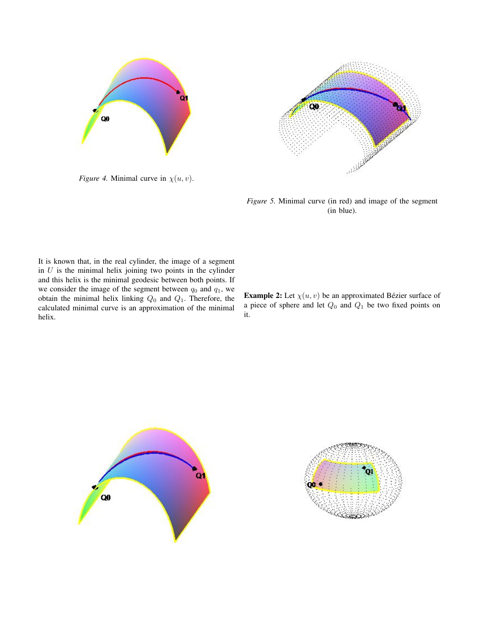

*Figure 4.* Minimal curve in  $\chi(u, v)$ .



*Figure 5.* Minimal curve (in red) and image of the segment (in blue).

It is known that, in the real cylinder, the image of a segment in  $U$  is the minimal helix joining two points in the cylinder and this helix is the minimal geodesic between both points. If we consider the image of the segment between  $q_0$  and  $q_1$ , we obtain the minimal helix linking  $Q_0$  and  $Q_1$ . Therefore, the calculated minimal curve is an approximation of the minimal helix.

**Example 2:** Let  $\chi(u, v)$  be an approximated Bézier surface of a piece of sphere and let  $Q_0$  and  $Q_1$  be two fixed points on it.



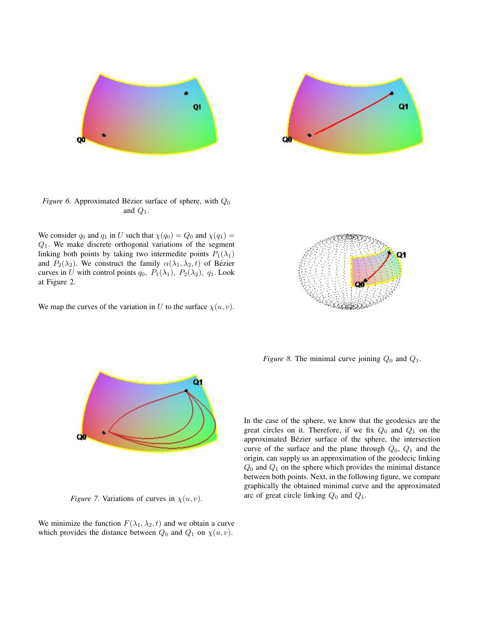



*Figure 6.* Approximated Bézier surface of sphere, with  $Q_0$ and  $Q_1$ .

We consider  $q_0$  and  $q_1$  in U such that  $\chi(q_0) = Q_0$  and  $\chi(q_1) =$  $Q_1$ . We make discrete orthogonal variations of the segment linking both points by taking two intermedite points  $P_1(\lambda_1)$ and  $P_2(\lambda_2)$ . We construct the family  $\alpha(\lambda_1, \lambda_2, t)$  of Bézier curves in U with control points  $q_0$ ,  $P_1(\lambda_1)$ ,  $P_2(\lambda_2)$ ,  $q_1$ . Look at Figure 2.

We map the curves of the variation in U to the surface  $\chi(u, v)$ .



*Figure 8.* The minimal curve joining  $Q_0$  and  $Q_1$ .



*Figure 7.* Variations of curves in  $\chi(u, v)$ .

We minimize the function  $F(\lambda_1, \lambda_2, t)$  and we obtain a curve which provides the distance between  $Q_0$  and  $Q_1$  on  $\chi(u, v)$ .

In the case of the sphere, we know that the geodesics are the great circles on it. Therefore, if we fix  $Q_0$  and  $Q_1$  on the approximated Bézier surface of the sphere, the intersection curve of the surface and the plane through  $Q_0$ ,  $Q_1$  and the origin, can supply us an approximation of the geodecic linking  $Q_0$  and  $Q_1$  on the sphere which provides the minimal distance between both points. Next, in the following figure, we compare graphically the obtained minimal curve and the approximated arc of great circle linking  $Q_0$  and  $Q_1$ .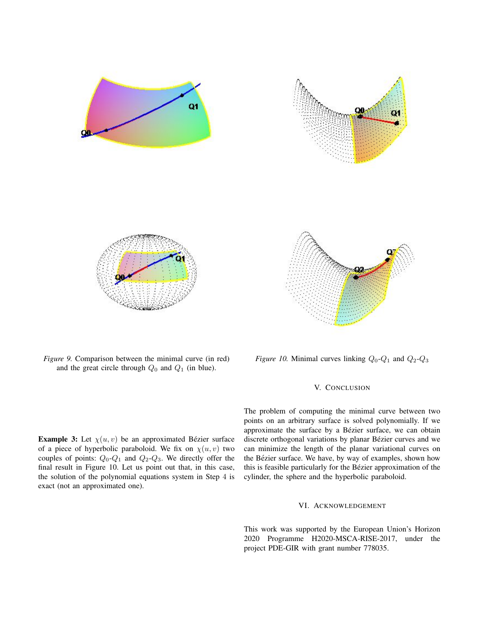

*Figure 9.* Comparison between the minimal curve (in red) and the great circle through  $Q_0$  and  $Q_1$  (in blue).

**Example 3:** Let  $\chi(u, v)$  be an approximated Bézier surface of a piece of hyperbolic paraboloid. We fix on  $\chi(u, v)$  two couples of points:  $Q_0$ - $Q_1$  and  $Q_2$ - $Q_3$ . We directly offer the final result in Figure 10. Let us point out that, in this case, the solution of the polynomial equations system in Step 4 is exact (not an approximated one).

*Figure 10.* Minimal curves linking  $Q_0$ - $Q_1$  and  $Q_2$ - $Q_3$ 

# V. CONCLUSION

The problem of computing the minimal curve between two points on an arbitrary surface is solved polynomially. If we approximate the surface by a Bézier surface, we can obtain discrete orthogonal variations by planar Bézier curves and we can minimize the length of the planar variational curves on the Bézier surface. We have, by way of examples, shown how this is feasible particularly for the Bézier approximation of the cylinder, the sphere and the hyperbolic paraboloid.

# VI. ACKNOWLEDGEMENT

This work was supported by the European Union's Horizon 2020 Programme H2020-MSCA-RISE-2017, under the project PDE-GIR with grant number 778035.